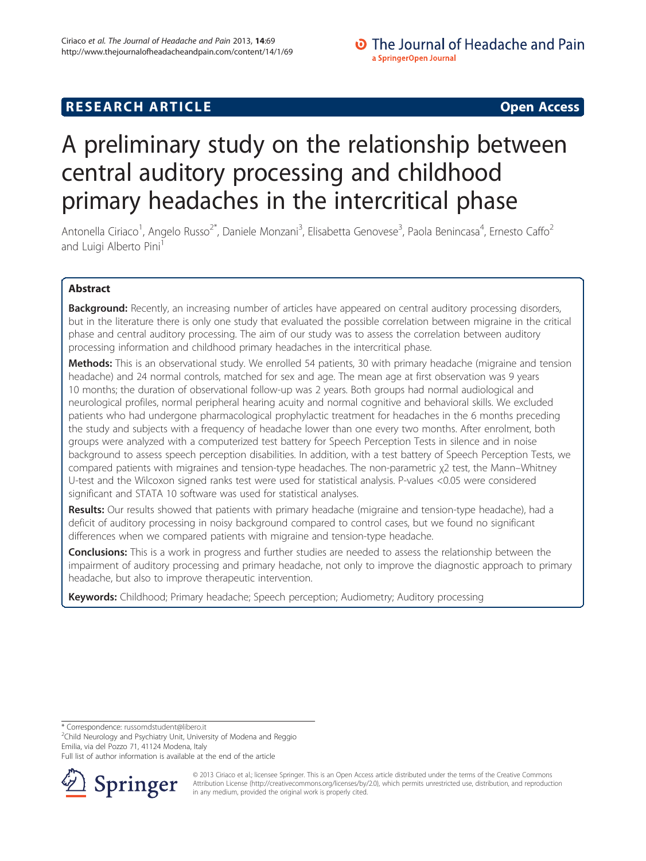## **RESEARCH ARTICLE Example 2014 CONSUMING A RESEARCH ARTICLE**

# A preliminary study on the relationship between central auditory processing and childhood primary headaches in the intercritical phase

Antonella Ciriaco<sup>1</sup>, Angelo Russo<sup>2\*</sup>, Daniele Monzani<sup>3</sup>, Elisabetta Genovese<sup>3</sup>, Paola Benincasa<sup>4</sup>, Ernesto Caffo<sup>2</sup> and Luigi Alberto Pini<sup>1</sup>

## Abstract

Background: Recently, an increasing number of articles have appeared on central auditory processing disorders, but in the literature there is only one study that evaluated the possible correlation between migraine in the critical phase and central auditory processing. The aim of our study was to assess the correlation between auditory processing information and childhood primary headaches in the intercritical phase.

Methods: This is an observational study. We enrolled 54 patients, 30 with primary headache (migraine and tension headache) and 24 normal controls, matched for sex and age. The mean age at first observation was 9 years 10 months; the duration of observational follow-up was 2 years. Both groups had normal audiological and neurological profiles, normal peripheral hearing acuity and normal cognitive and behavioral skills. We excluded patients who had undergone pharmacological prophylactic treatment for headaches in the 6 months preceding the study and subjects with a frequency of headache lower than one every two months. After enrolment, both groups were analyzed with a computerized test battery for Speech Perception Tests in silence and in noise background to assess speech perception disabilities. In addition, with a test battery of Speech Perception Tests, we compared patients with migraines and tension-type headaches. The non-parametric χ2 test, the Mann–Whitney U-test and the Wilcoxon signed ranks test were used for statistical analysis. P-values <0.05 were considered significant and STATA 10 software was used for statistical analyses.

Results: Our results showed that patients with primary headache (migraine and tension-type headache), had a deficit of auditory processing in noisy background compared to control cases, but we found no significant differences when we compared patients with migraine and tension-type headache.

**Conclusions:** This is a work in progress and further studies are needed to assess the relationship between the impairment of auditory processing and primary headache, not only to improve the diagnostic approach to primary headache, but also to improve therapeutic intervention.

Keywords: Childhood; Primary headache; Speech perception; Audiometry; Auditory processing

\* Correspondence: [russomdstudent@libero.it](mailto:russomdstudent@libero.it) <sup>2</sup>

 $2$ Child Neurology and Psychiatry Unit, University of Modena and Reggio Emilia, via del Pozzo 71, 41124 Modena, Italy

Full list of author information is available at the end of the article



© 2013 Ciriaco et al.; licensee Springer. This is an Open Access article distributed under the terms of the Creative Commons Attribution License [\(http://creativecommons.org/licenses/by/2.0\)](http://creativecommons.org/licenses/by/2.0), which permits unrestricted use, distribution, and reproduction in any medium, provided the original work is properly cited.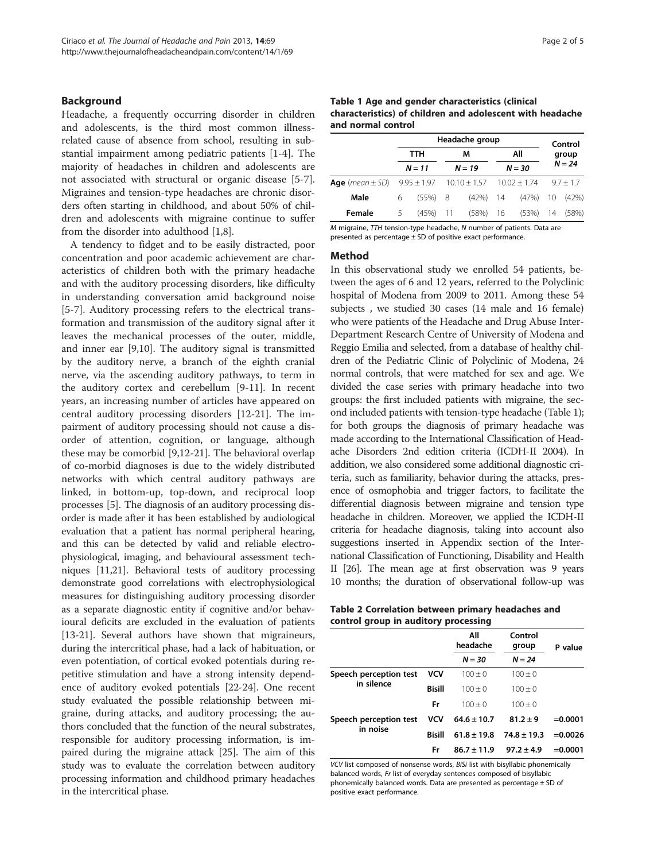#### <span id="page-1-0"></span>Background

Headache, a frequently occurring disorder in children and adolescents, is the third most common illnessrelated cause of absence from school, resulting in substantial impairment among pediatric patients [[1-4](#page-3-0)]. The majority of headaches in children and adolescents are not associated with structural or organic disease [[5-7](#page-3-0)]. Migraines and tension-type headaches are chronic disorders often starting in childhood, and about 50% of children and adolescents with migraine continue to suffer from the disorder into adulthood [[1,8\]](#page-3-0).

A tendency to fidget and to be easily distracted, poor concentration and poor academic achievement are characteristics of children both with the primary headache and with the auditory processing disorders, like difficulty in understanding conversation amid background noise [[5-7](#page-3-0)]. Auditory processing refers to the electrical transformation and transmission of the auditory signal after it leaves the mechanical processes of the outer, middle, and inner ear [\[9,10\]](#page-3-0). The auditory signal is transmitted by the auditory nerve, a branch of the eighth cranial nerve, via the ascending auditory pathways, to term in the auditory cortex and cerebellum [\[9](#page-3-0)-[11](#page-4-0)]. In recent years, an increasing number of articles have appeared on central auditory processing disorders [[12-21\]](#page-4-0). The impairment of auditory processing should not cause a disorder of attention, cognition, or language, although these may be comorbid [\[9](#page-3-0)[,12](#page-4-0)-[21\]](#page-4-0). The behavioral overlap of co-morbid diagnoses is due to the widely distributed networks with which central auditory pathways are linked, in bottom-up, top-down, and reciprocal loop processes [\[5](#page-3-0)]. The diagnosis of an auditory processing disorder is made after it has been established by audiological evaluation that a patient has normal peripheral hearing, and this can be detected by valid and reliable electrophysiological, imaging, and behavioural assessment techniques [[11,21](#page-4-0)]. Behavioral tests of auditory processing demonstrate good correlations with electrophysiological measures for distinguishing auditory processing disorder as a separate diagnostic entity if cognitive and/or behavioural deficits are excluded in the evaluation of patients [[13](#page-4-0)-[21](#page-4-0)]. Several authors have shown that migraineurs, during the intercritical phase, had a lack of habituation, or even potentiation, of cortical evoked potentials during repetitive stimulation and have a strong intensity dependence of auditory evoked potentials [[22](#page-4-0)-[24](#page-4-0)]. One recent study evaluated the possible relationship between migraine, during attacks, and auditory processing; the authors concluded that the function of the neural substrates, responsible for auditory processing information, is impaired during the migraine attack [[25](#page-4-0)]. The aim of this study was to evaluate the correlation between auditory processing information and childhood primary headaches in the intercritical phase.

Table 1 Age and gender characteristics (clinical characteristics) of children and adolescent with headache and normal control

|                                                                                      |                 | Headache group |          |             |          |                         | Control     |       |
|--------------------------------------------------------------------------------------|-----------------|----------------|----------|-------------|----------|-------------------------|-------------|-------|
|                                                                                      | TTH<br>$N = 11$ |                |          | М           | All      |                         | group       |       |
|                                                                                      |                 |                | $N = 19$ |             | $N = 30$ |                         | $N = 24$    |       |
| <b>Age</b> ( <i>mean</i> $\pm$ SD) $9.95 \pm 1.97$ $10.10 \pm 1.57$ $10.02 \pm 1.74$ |                 |                |          |             |          |                         | $9.7 + 1.7$ |       |
| Male                                                                                 | 6               | $(55\%)$ 8     |          | $(42\%)$ 14 |          | (47%)                   | 10          | (42%) |
| Female                                                                               | 5               | $(45%)$ 11     |          |             |          | (58%) 16 (53%) 14 (58%) |             |       |

M migraine, TTH tension-type headache, N number of patients. Data are presented as percentage ± SD of positive exact performance.

#### Method

In this observational study we enrolled 54 patients, between the ages of 6 and 12 years, referred to the Polyclinic hospital of Modena from 2009 to 2011. Among these 54 subjects , we studied 30 cases (14 male and 16 female) who were patients of the Headache and Drug Abuse Inter-Department Research Centre of University of Modena and Reggio Emilia and selected, from a database of healthy children of the Pediatric Clinic of Polyclinic of Modena, 24 normal controls, that were matched for sex and age. We divided the case series with primary headache into two groups: the first included patients with migraine, the second included patients with tension-type headache (Table 1); for both groups the diagnosis of primary headache was made according to the International Classification of Headache Disorders 2nd edition criteria (ICDH-II 2004). In addition, we also considered some additional diagnostic criteria, such as familiarity, behavior during the attacks, presence of osmophobia and trigger factors, to facilitate the differential diagnosis between migraine and tension type headache in children. Moreover, we applied the ICDH-II criteria for headache diagnosis, taking into account also suggestions inserted in Appendix section of the International Classification of Functioning, Disability and Health II [\[26\]](#page-4-0). The mean age at first observation was 9 years 10 months; the duration of observational follow-up was

| Table 2 Correlation between primary headaches and |  |  |
|---------------------------------------------------|--|--|
| control group in auditory processing              |  |  |

|                        |               | Αll<br>headache | Control<br>group | P value    |
|------------------------|---------------|-----------------|------------------|------------|
|                        |               | $N = 30$        | $N = 24$         |            |
| Speech perception test | VCV           | $100 + 0$       | $100 + 0$        |            |
| in silence             | <b>Bisill</b> | $100 + 0$       | $100 + 0$        |            |
|                        | Fr            | $100 + 0$       | $100 + 0$        |            |
| Speech perception test | VCV           | $64.6 \pm 10.7$ | $81.2 \pm 9$     | $= 0.0001$ |
| in noise               | <b>Bisill</b> | $61.8 \pm 19.8$ | $74.8 \pm 19.3$  | $= 0.0026$ |
|                        | Fr            | $86.7 \pm 11.9$ | $97.2 \pm 4.9$   | $= 0.0001$ |

VCV list composed of nonsense words, BiSi list with bisyllabic phonemically balanced words, Fr list of everyday sentences composed of bisyllabic phonemically balanced words. Data are presented as percentage  $\pm$  SD of positive exact performance.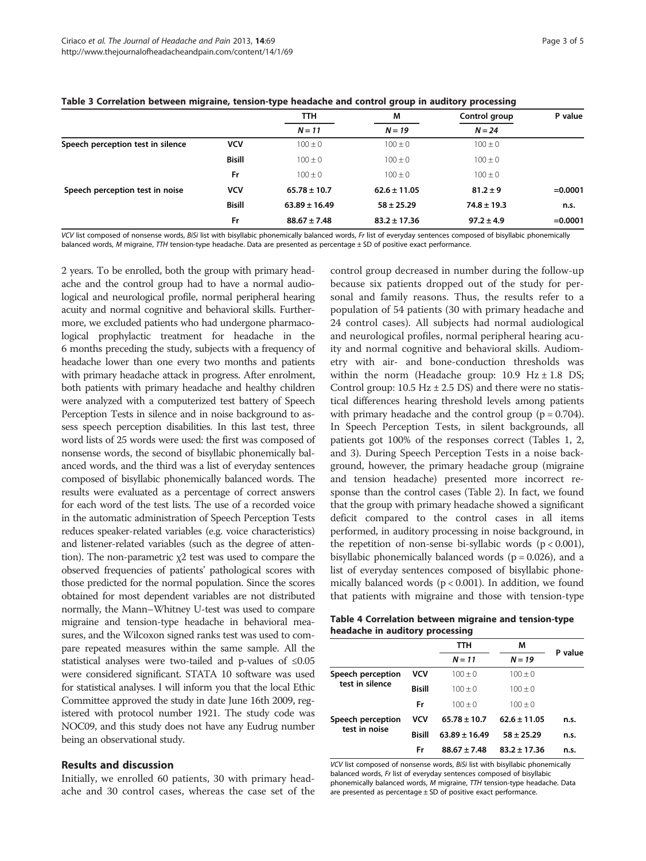|                                   |               | TTH.              | М                | Control group   | P value    |
|-----------------------------------|---------------|-------------------|------------------|-----------------|------------|
|                                   |               | $N = 11$          | $N = 19$         | $N = 24$        |            |
| Speech perception test in silence | <b>VCV</b>    | $100 \pm 0$       | $100 \pm 0$      | $100 \pm 0$     |            |
|                                   | <b>Bisill</b> | $100 \pm 0$       | $100 \pm 0$      | $100 \pm 0$     |            |
|                                   | Fr            | $100 \pm 0$       | $100 \pm 0$      | $100 \pm 0$     |            |
| Speech perception test in noise   | <b>VCV</b>    | $65.78 \pm 10.7$  | $62.6 \pm 11.05$ | $81.2 \pm 9$    | $= 0.0001$ |
|                                   | <b>Bisill</b> | $63.89 \pm 16.49$ | $58 \pm 25.29$   | $74.8 \pm 19.3$ | n.s.       |
|                                   | Fr            | $88.67 \pm 7.48$  | $83.2 \pm 17.36$ | $97.2 \pm 4.9$  | $= 0.0001$ |

#### <span id="page-2-0"></span>Table 3 Correlation between migraine, tension-type headache and control group in auditory processing

VCV list composed of nonsense words, BiSi list with bisyllabic phonemically balanced words, Fr list of everyday sentences composed of bisyllabic phonemically balanced words, M migraine, TTH tension-type headache. Data are presented as percentage ± SD of positive exact performance.

2 years. To be enrolled, both the group with primary headache and the control group had to have a normal audiological and neurological profile, normal peripheral hearing acuity and normal cognitive and behavioral skills. Furthermore, we excluded patients who had undergone pharmacological prophylactic treatment for headache in the 6 months preceding the study, subjects with a frequency of headache lower than one every two months and patients with primary headache attack in progress. After enrolment, both patients with primary headache and healthy children were analyzed with a computerized test battery of Speech Perception Tests in silence and in noise background to assess speech perception disabilities. In this last test, three word lists of 25 words were used: the first was composed of nonsense words, the second of bisyllabic phonemically balanced words, and the third was a list of everyday sentences composed of bisyllabic phonemically balanced words. The results were evaluated as a percentage of correct answers for each word of the test lists. The use of a recorded voice in the automatic administration of Speech Perception Tests reduces speaker-related variables (e.g. voice characteristics) and listener-related variables (such as the degree of attention). The non-parametric  $χ2$  test was used to compare the observed frequencies of patients' pathological scores with those predicted for the normal population. Since the scores obtained for most dependent variables are not distributed normally, the Mann–Whitney U-test was used to compare migraine and tension-type headache in behavioral measures, and the Wilcoxon signed ranks test was used to compare repeated measures within the same sample. All the statistical analyses were two-tailed and p-values of ≤0.05 were considered significant. STATA 10 software was used for statistical analyses. I will inform you that the local Ethic Committee approved the study in date June 16th 2009, registered with protocol number 1921. The study code was NOC09, and this study does not have any Eudrug number being an observational study.

#### Results and discussion

Initially, we enrolled 60 patients, 30 with primary headache and 30 control cases, whereas the case set of the

control group decreased in number during the follow-up because six patients dropped out of the study for personal and family reasons. Thus, the results refer to a population of 54 patients (30 with primary headache and 24 control cases). All subjects had normal audiological and neurological profiles, normal peripheral hearing acuity and normal cognitive and behavioral skills. Audiometry with air- and bone-conduction thresholds was within the norm (Headache group:  $10.9$  Hz  $\pm 1.8$  DS; Control group:  $10.5$  Hz  $\pm$  2.5 DS) and there were no statistical differences hearing threshold levels among patients with primary headache and the control group  $(p = 0.704)$ . In Speech Perception Tests, in silent backgrounds, all patients got 100% of the responses correct (Tables [1](#page-1-0), [2](#page-1-0), and 3). During Speech Perception Tests in a noise background, however, the primary headache group (migraine and tension headache) presented more incorrect response than the control cases (Table [2](#page-1-0)). In fact, we found that the group with primary headache showed a significant deficit compared to the control cases in all items performed, in auditory processing in noise background, in the repetition of non-sense bi-syllabic words  $(p < 0.001)$ , bisyllabic phonemically balanced words ( $p = 0.026$ ), and a list of everyday sentences composed of bisyllabic phonemically balanced words ( $p < 0.001$ ). In addition, we found that patients with migraine and those with tension-type

Table 4 Correlation between migraine and tension-type headache in auditory processing

|                                    |               | TTH               | М                | P value |
|------------------------------------|---------------|-------------------|------------------|---------|
|                                    |               | $N = 11$          | $N = 19$         |         |
| Speech perception                  | VCV           | $100 + 0$         | $100 + 0$        |         |
| test in silence                    | <b>Bisill</b> | $100 + 0$         | $100 + 0$        |         |
|                                    | Fr            | $100 + 0$         | $100 + 0$        |         |
| Speech perception<br>test in noise | VCV           | $65.78 \pm 10.7$  | $62.6 \pm 11.05$ | n.s.    |
|                                    | <b>Bisill</b> | $63.89 \pm 16.49$ | $58 \pm 25.29$   | n.s.    |
|                                    | Fr            | $88.67 \pm 7.48$  | $83.2 \pm 17.36$ | n.s.    |
|                                    |               |                   |                  |         |

VCV list composed of nonsense words, BiSi list with bisyllabic phonemically balanced words, Fr list of everyday sentences composed of bisyllabic phonemically balanced words, M migraine, TTH tension-type headache. Data are presented as percentage  $\pm$  SD of positive exact performance.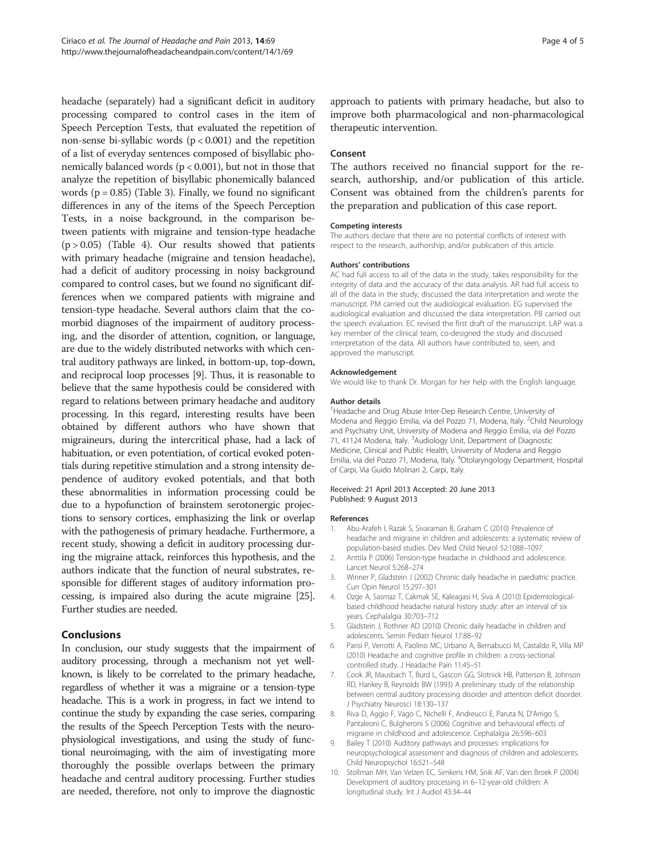<span id="page-3-0"></span>headache (separately) had a significant deficit in auditory processing compared to control cases in the item of Speech Perception Tests, that evaluated the repetition of non-sense bi-syllabic words  $(p < 0.001)$  and the repetition of a list of everyday sentences composed of bisyllabic phonemically balanced words ( $p < 0.001$ ), but not in those that analyze the repetition of bisyllabic phonemically balanced words  $(p = 0.85)$  (Table [3\)](#page-2-0). Finally, we found no significant differences in any of the items of the Speech Perception Tests, in a noise background, in the comparison between patients with migraine and tension-type headache  $(p > 0.05)$  (Table [4](#page-2-0)). Our results showed that patients with primary headache (migraine and tension headache), had a deficit of auditory processing in noisy background compared to control cases, but we found no significant differences when we compared patients with migraine and tension-type headache. Several authors claim that the comorbid diagnoses of the impairment of auditory processing, and the disorder of attention, cognition, or language, are due to the widely distributed networks with which central auditory pathways are linked, in bottom-up, top-down, and reciprocal loop processes [9]. Thus, it is reasonable to believe that the same hypothesis could be considered with regard to relations between primary headache and auditory processing. In this regard, interesting results have been obtained by different authors who have shown that migraineurs, during the intercritical phase, had a lack of habituation, or even potentiation, of cortical evoked potentials during repetitive stimulation and a strong intensity dependence of auditory evoked potentials, and that both these abnormalities in information processing could be due to a hypofunction of brainstem serotonergic projections to sensory cortices, emphasizing the link or overlap with the pathogenesis of primary headache. Furthermore, a recent study, showing a deficit in auditory processing during the migraine attack, reinforces this hypothesis, and the authors indicate that the function of neural substrates, responsible for different stages of auditory information processing, is impaired also during the acute migraine [[25](#page-4-0)]. Further studies are needed.

### Conclusions

In conclusion, our study suggests that the impairment of auditory processing, through a mechanism not yet wellknown, is likely to be correlated to the primary headache, regardless of whether it was a migraine or a tension-type headache. This is a work in progress, in fact we intend to continue the study by expanding the case series, comparing the results of the Speech Perception Tests with the neurophysiological investigations, and using the study of functional neuroimaging, with the aim of investigating more thoroughly the possible overlaps between the primary headache and central auditory processing. Further studies are needed, therefore, not only to improve the diagnostic

approach to patients with primary headache, but also to improve both pharmacological and non-pharmacological therapeutic intervention.

#### Consent

The authors received no financial support for the research, authorship, and/or publication of this article. Consent was obtained from the children's parents for the preparation and publication of this case report.

#### Competing interests

The authors declare that there are no potential conflicts of interest with respect to the research, authorship, and/or publication of this article.

#### Authors' contributions

AC had full access to all of the data in the study, takes responsibility for the integrity of data and the accuracy of the data analysis. AR had full access to all of the data in the study, discussed the data interpretation and wrote the manuscript. PM carried out the audiological evaluation. EG supervised the audiological evaluation and discussed the data interpretation. PB carried out the speech evaluation. EC revised the first draft of the manuscript. LAP was a key member of the clinical team, co-designed the study and discussed interpretation of the data. All authors have contributed to, seen, and approved the manuscript.

#### Acknowledgement

We would like to thank Dr. Morgan for her help with the English language.

#### Author details

<sup>1</sup> Headache and Drug Abuse Inter-Dep Research Centre, University of Modena and Reggio Emilia, via del Pozzo 71, Modena, Italy. <sup>2</sup>Child Neurology and Psychiatry Unit, University of Modena and Reggio Emilia, via del Pozzo 71, 41124 Modena, Italy. <sup>3</sup>Audiology Unit, Department of Diagnostic Medicine, Clinical and Public Health, University of Modena and Reggio Emilia, via del Pozzo 71, Modena, Italy. <sup>4</sup>Otolaryngology Department, Hospital of Carpi, Via Guido Molinari 2, Carpi, Italy.

#### Received: 21 April 2013 Accepted: 20 June 2013 Published: 9 August 2013

#### References

- 1. Abu-Arafeh I, Razak S, Sivaraman B, Graham C (2010) Prevalence of headache and migraine in children and adolescents: a systematic review of population-based studies. Dev Med Child Neurol 52:1088–1097
- 2. Anttila P (2006) Tension-type headache in childhood and adolescence. Lancet Neurol 5:268–274
- 3. Winner P, Gladstein J (2002) Chronic daily headache in paediatric practice. Curr Opin Neurol 15:297–301
- 4. Ozge A, Sasmaz T, Cakmak SE, Kaleagasi H, Siva A (2010) Epidemiologicalbased childhood headache natural history study: after an interval of six years. Cephalalgia 30:703–712
- 5. Gladstein J, Rothner AD (2010) Chronic daily headache in children and adolescents. Semin Pediatr Neurol 17:88–92
- 6. Parisi P, Verrotti A, Paolino MC, Urbano A, Bernabucci M, Castaldo R, Villa MP (2010) Headache and cognitive profile in children: a cross-sectional controlled study. J Headache Pain 11:45–51
- 7. Cook JR, Mausbach T, Burd L, Gascon GG, Slotnick HB, Patterson B, Johnson RD, Hankey B, Reynolds BW (1993) A preliminary study of the relationship between central auditory processing disorder and attention deficit disorder. J Psychiatry Neurosci 18:130–137
- 8. Riva D, Aggio F, Vago C, Nichelli F, Andreucci E, Paruta N, D'Arrigo S, Pantaleoni C, Bulgheroni S (2006) Cognitive and behavioural effects of migraine in childhood and adolescence. Cephalalgia 26:596–603
- 9. Bailey T (2010) Auditory pathways and processes: implications for neuropsychological assessment and diagnosis of children and adolescents. Child Neuropsychol 16:521–548
- 10. Stollman MH, Van Velzen EC, Simkens HM, Snik AF, Van den Broek P (2004) Development of auditory processing in 6–12-year-old children: A longitudinal study. Int J Audiol 43:34–44